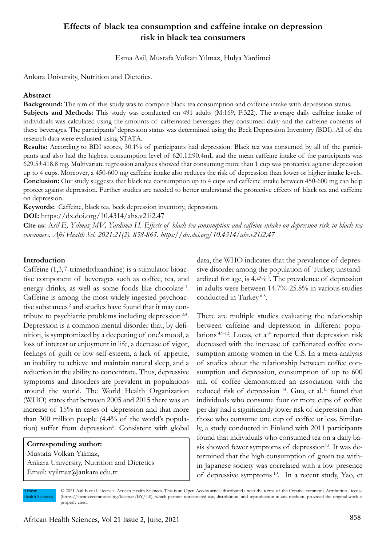# **Effects of black tea consumption and caffeine intake on depression risk in black tea consumers**

Esma Asil, Mustafa Volkan Yılmaz, Hulya Yardimci

Ankara University, Nutrition and Dietetics.

#### **Abstract**

**Background:** The aim of this study was to compare black tea consumption and caffeine intake with depression status.

**Subjects and Methods:** This study was conducted on 491 adults (M:169, F:322). The average daily caffeine intake of individuals was calculated using the amounts of caffeinated beverages they consumed daily and the caffeine contents of these beverages. The participants' depression status was determined using the Beck Depression Inventory (BDI). All of the research data were evaluated using STATA.

**Results:** According to BDI scores, 30.1% of participants had depression. Black tea was consumed by all of the participants and also had the highest consumption level of 620.1±90.4mL and the mean caffeine intake of the participants was 629.5±418.8 mg. Multivariate regression analyses showed that consuming more than 1 cup was protective against depression up to 4 cups. Moreover, a 450-600 mg caffeine intake also reduces the risk of depression than lower or higher intake levels. **Conclusion:** Our study suggests that black tea consumption up to 4 cups and caffeine intake between 450-600 mg can help protect against depression. Further studies are needed to better understand the protective effects of black tea and caffeine on depression.

**Keywords:** Caffeine, black tea, beck depression inventory, depression.

**DOI:** https://dx.doi.org/10.4314/ahs.v21i2.47

**Cite as:** A*sil E, Yılmaz MV, Yardimci H. Effects of black tea consumption and caffeine intake on depression risk in black tea consumers. Afri Health Sci. 2021;21(2). 858-865. https://dx.doi.org/10.4314/ahs.v21i2.47*

#### **Introduction**

Caffeine (1,3,7-trimethylxanthine) is a stimulator bioactive component of beverages such as coffee, tea, and energy drinks, as well as some foods like chocolate 1. Caffeine is among the most widely ingested psychoactive substances<sup>2</sup> and studies have found that it may contribute to psychiatric problems including depression 3,4. Depression is a common mental disorder that, by definition, is symptomized by a deepening of one's mood, a loss of interest or enjoyment in life, a decrease of vigor, feelings of guilt or low self-esteem, a lack of appetite, an inability to achieve and maintain natural sleep, and a reduction in the ability to concentrate. Thus, depressive symptoms and disorders are prevalent in populations around the world. The World Health Organization (WHO) states that between 2005 and 2015 there was an increase of 15% in cases of depression and that more than 300 million people (4.4% of the world's population) suffer from depression<sup>5</sup>. Consistent with global

# **Corresponding author:**

Mustafa Volkan Yılmaz, Ankara University, Nutrition and Dietetics Email: vyilmaz@ankara.edu.tr

data, the WHO indicates that the prevalence of depressive disorder among the population of Turkey, unstandardized for age, is  $4.4\%$ <sup>5</sup>. The prevalence of depression in adults were between 14.7%-25.8% in various studies conducted in Turkey<sup>6-8</sup>.

There are multiple studies evaluating the relationship between caffeine and depression in different populations  $4,9-12$ . Lucas, et  $a^{1.4}$  reported that depression risk decreased with the increase of caffeinated coffee consumption among women in the U.S. In a meta-analysis of studies about the relationship between coffee consumption and depression, consumption of up to 600 mL of coffee demonstrated an association with the reduced risk of depression<sup>14</sup>. Guo, et al.<sup>15</sup> found that individuals who consume four or more cups of coffee per day had a significantly lower risk of depression than those who consume one cup of coffee or less. Similarly, a study conducted in Finland with 2011 participants found that individuals who consumed tea on a daily basis showed fewer symptoms of depression $13$ . It was determined that the high consumption of green tea within Japanese society was correlated with a low presence of depressive symptoms 10. In a recent study, Yao, et

African lealth Sciences © 2021 Asil E et al. Licensee African Health Sciences. This is an Open Access article distributed under the terms of the Creative commons Attribution License (https://creativecommons.org/licenses/BY/4.0), which permits unrestricted use, distribution, and reproduction in any medium, provided the original work is properly cited.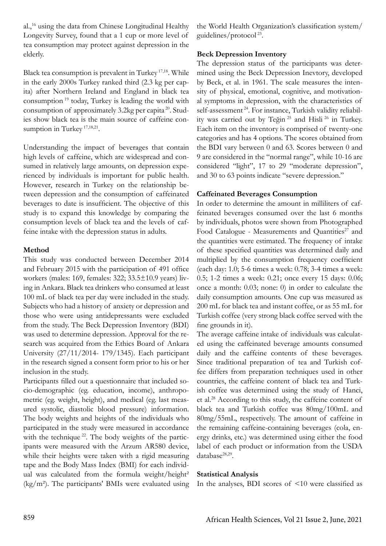al.,16 using the data from Chinese Longitudinal Healthy Longevity Survey, found that a 1 cup or more level of tea consumption may protect against depression in the elderly.

Black tea consumption is prevalent in Turkey 17,18. While in the early 2000s Turkey ranked third (2.3 kg per capita) after Northern Ireland and England in black tea consumption 19 today, Turkey is leading the world with consumption of approximately 3.2kg per capita  $20$ . Studies show black tea is the main source of caffeine consumption in Turkey<sup>17,18,21</sup>.

Understanding the impact of beverages that contain high levels of caffeine, which are widespread and consumed in relatively large amounts, on depression experienced by individuals is important for public health. However, research in Turkey on the relationship between depression and the consumption of caffeinated beverages to date is insufficient. The objective of this study is to expand this knowledge by comparing the consumption levels of black tea and the levels of caffeine intake with the depression status in adults.

## **Method**

This study was conducted between December 2014 and February 2015 with the participation of 491 office workers (males: 169, females: 322; 33.5±10.9 years) living in Ankara. Black tea drinkers who consumed at least 100 mL of black tea per day were included in the study. Subjects who had a history of anxiety or depression and those who were using antidepressants were excluded from the study. The Beck Depression Inventory (BDI) was used to determine depression. Approval for the research was acquired from the Ethics Board of Ankara University (27/11/2014- 179/1345). Each participant in the research signed a consent form prior to his or her inclusion in the study.

Participants filled out a questionnaire that included socio-demographic (eg. education, income), anthropometric (eg. weight, height), and medical (eg. last measured systolic, diastolic blood pressure) information. The body weights and heights of the individuals who participated in the study were measured in accordance with the technique <sup>22</sup>. The body weights of the participants were measured with the Arzum AR580 device, while their heights were taken with a rigid measuring tape and the Body Mass Index (BMI) for each individual was calculated from the formula weight/height<sup>2</sup>  $(kg/m<sup>2</sup>)$ . The participants' BMIs were evaluated using

the World Health Organization's classification system/ guidelines/protocol 23.

## **Beck Depression Inventory**

The depression status of the participants was determined using the Beck Depression Inevtory, developed by Beck, et al. in 1961. The scale measures the intensity of physical, emotional, cognitive, and motivational symptoms in depression, with the characteristics of self-assessment<sup>24</sup>. For instance, Turkish validity reliability was carried out by Teğin 25 and Hisli 26 in Turkey. Each item on the inventory is comprised of twenty-one categories and has 4 options. The scores obtained from the BDI vary between 0 and 63. Scores between 0 and 9 are considered in the "normal range", while 10-16 are considered "light", 17 to 29 "moderate depression", and 30 to 63 points indicate "severe depression."

# **Caffeinated Beverages Consumption**

In order to determine the amount in milliliters of caffeinated beverages consumed over the last 6 months by individuals, photos were shown from Photographed Food Catalogue - Measurements and Quantities<sup>27</sup> and the quantities were estimated. The frequency of intake of these specified quantities was determined daily and multiplied by the consumption frequency coefficient (each day: 1.0; 5-6 times a week: 0.78; 3-4 times a week: 0.5; 1-2 times a week: 0.21; once every 15 days: 0.06; once a month: 0.03; none: 0) in order to calculate the daily consumption amounts. One cup was measured as 200 mL for black tea and instant coffee, or as 55 mL for Turkish coffee (very strong black coffee served with the fine grounds in it).

The average caffeine intake of individuals was calculated using the caffeinated beverage amounts consumed daily and the caffeine contents of these beverages. Since traditional preparation of tea and Turkish coffee differs from preparation techniques used in other countries, the caffeine content of black tea and Turkish coffee was determined using the study of Hanci, et al.28 According to this study, the caffeine content of black tea and Turkish coffee was 80mg/100mL and 80mg/55mL, respectively. The amount of caffeine in the remaining caffeine-containing beverages (cola, energy drinks, etc.) was determined using either the food label of each product or information from the USDA database<sup>28,29</sup>.

# **Statistical Analysis**

In the analyses, BDI scores of <10 were classified as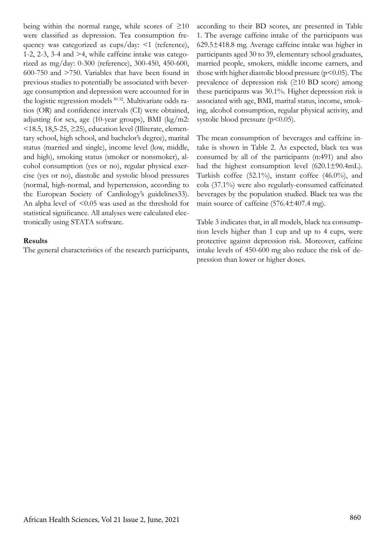being within the normal range, while scores of  $\geq 10$ were classified as depression. Tea consumption frequency was categorized as cups/day: <1 (reference), 1-2, 2-3, 3-4 and >4, while caffeine intake was categorized as mg/day: 0-300 (reference), 300-450, 450-600, 600-750 and >750. Variables that have been found in previous studies to potentially be associated with beverage consumption and depression were accounted for in the logistic regression models 30-32. Multivariate odds ratios (OR) and confidence intervals (CI) were obtained, adjusting for sex, age (10-year groups), BMI (kg/m2:  $\leq$ 18.5, 18,5-25,  $\geq$ 25), education level (Illiterate, elementary school, high school, and bachelor's degree), marital status (married and single), income level (low, middle, and high), smoking status (smoker or nonsmoker), alcohol consumption (yes or no), regular physical exercise (yes or no), diastolic and systolic blood pressures (normal, high-normal, and hypertension, according to the European Society of Cardiology's guidelines33). An alpha level of  $\leq 0.05$  was used as the threshold for statistical significance. All analyses were calculated electronically using STATA software.

#### **Results**

The general characteristics of the research participants,

according to their BD scores, are presented in Table 1. The average caffeine intake of the participants was 629.5±418.8 mg. Average caffeine intake was higher in participants aged 30 to 39, elementary school graduates, married people, smokers, middle income earners, and those with higher diastolic blood pressure ( $p$ <0.05). The prevalence of depression risk (≥10 BD score) among these participants was 30.1%. Higher depression risk is associated with age, BMI, marital status, income, smoking, alcohol consumption, regular physical activity, and systolic blood pressure  $(p<0.05)$ .

The mean consumption of beverages and caffeine intake is shown in Table 2. As expected, black tea was consumed by all of the participants (n:491) and also had the highest consumption level (620.1±90.4mL). Turkish coffee (52.1%), instant coffee (46.0%), and cola (37.1%) were also regularly-consumed caffeinated beverages by the population studied. Black tea was the main source of caffeine (576.4±407.4 mg).

Table 3 indicates that, in all models, black tea consumption levels higher than 1 cup and up to 4 cups, were protective against depression risk. Moreover, caffeine intake levels of 450-600 mg also reduce the risk of depression than lower or higher doses.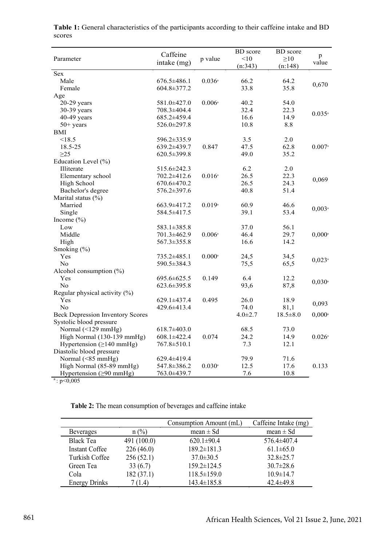| Parameter                               | Caffeine<br>intake (mg) | p value              | <b>BD</b> score<br>< 10<br>(n:343) | <b>BD</b> score<br>$\geq 10$<br>(n:148) | p<br>value           |
|-----------------------------------------|-------------------------|----------------------|------------------------------------|-----------------------------------------|----------------------|
| Sex                                     |                         |                      |                                    |                                         |                      |
| Male                                    | $676.5 \pm 486.1$       | $0.036^{\circ}$      | 66.2                               | 64.2                                    | 0,670                |
| Female                                  | 604.8±377.2             |                      | 33.8                               | 35.8                                    |                      |
| Age                                     |                         |                      |                                    |                                         |                      |
| $20-29$ years                           | 581.0±427.0             | $0.006$ <sup>a</sup> | 40.2                               | 54.0                                    |                      |
| 30-39 years                             | 708.3±404.4             |                      | 32.4                               | 22.3                                    | $0.035^{\circ}$      |
| 40-49 years                             | 685.2±459.4             |                      | 16.6                               | 14.9                                    |                      |
| $50+$ years                             | 526.0±297.8             |                      | 10.8                               | 8.8                                     |                      |
| <b>BMI</b>                              |                         |                      |                                    |                                         |                      |
| < 18.5                                  | 596.2±335.9             |                      | 3.5                                | 2.0                                     |                      |
| 18.5-25                                 | 639.2±439.7             | 0.847                | 47.5                               | 62.8                                    | $0.007$ <sup>a</sup> |
| $\geq$ 25                               | 620.5±399.8             |                      | 49.0                               | 35.2                                    |                      |
| Education Level (%)                     |                         |                      |                                    |                                         |                      |
| Illiterate                              | 515.6±242.3             |                      | 6.2                                | 2.0                                     |                      |
| Elementary school                       | 702.2±412.6             | $0.016$ <sup>a</sup> | 26.5                               | 22.3                                    | 0,069                |
| High School                             | 670.6±470.2             |                      | 26.5                               | 24.3                                    |                      |
| Bachelor's degree                       | 576.2±397.6             |                      | 40.8                               | 51.4                                    |                      |
| Marital status (%)                      |                         |                      |                                    |                                         |                      |
| Married                                 | $663.9 \pm 417.2$       | 0.019a               | 60.9                               | 46.6                                    | $0,003$ <sup>a</sup> |
| Single                                  | 584.5±417.5             |                      | 39.1                               | 53.4                                    |                      |
| Income $(\% )$                          |                         |                      |                                    |                                         |                      |
| Low                                     | 583.1±385.8             |                      | 37.0                               | 56.1                                    |                      |
| Middle                                  | $701.3 \pm 462.9$       | $0.006^{\circ}$      | 46.4                               | 29.7                                    | $0,000^{\circ}$      |
| High                                    | 567.3±355.8             |                      | 16.6                               | 14.2                                    |                      |
| Smoking (%)                             |                         |                      |                                    |                                         |                      |
| Yes                                     | 735.2±485.1             | $0.000$ <sup>a</sup> | 24,5                               | 34,5                                    |                      |
| N <sub>o</sub>                          | 590.5 ± 384.3           |                      | 75,5                               | 65,5                                    | $0,023$ <sup>a</sup> |
| Alcohol consumption (%)                 |                         |                      |                                    |                                         |                      |
| Yes                                     | 695.6±625.5             | 0.149                | 6.4                                | 12.2                                    |                      |
| No                                      | 623.6±395.8             |                      | 93,6                               | 87,8                                    | $0,030$ <sup>a</sup> |
| Regular physical activity $(\% )$       |                         |                      |                                    |                                         |                      |
| Yes                                     | $629.1 \pm 437.4$       | 0.495                | 26.0                               | 18.9                                    |                      |
| N <sub>o</sub>                          | 429.6±413.4             |                      | 74.0                               | 81,1                                    | 0,093                |
| <b>Beck Depression Inventory Scores</b> |                         |                      | $4.0 \pm 2.7$                      | $18.5 \pm 8.0$                          | $0,000$ <sup>a</sup> |
| Systolic blood pressure                 |                         |                      |                                    |                                         |                      |
| Normal $(\leq 129$ mmHg)                | $618.7 \pm 403.0$       |                      | 68.5                               | 73.0                                    |                      |
| High Normal (130-139 mmHg)              | $608.1 \pm 422.4$       | 0.074                | 24.2                               | 14.9                                    | $0.026^{\circ}$      |
| Hypertension $(\geq 140$ mmHg)          | 767.8±510.1             |                      | 7.3                                | 12.1                                    |                      |
| Diastolic blood pressure                |                         |                      |                                    |                                         |                      |
| Normal (<85 mmHg)                       | $629.4 \pm 419.4$       |                      | 79.9                               | 71.6                                    |                      |
| High Normal (85-89 mmHg)                | 547.8±386.2             | $0.030$ <sup>a</sup> | 12.5                               | 17.6                                    | 0.133                |
| Hypertension $(≥90$ mmHg)               | 763.0±439.7             |                      | 7.6                                | 10.8                                    |                      |
| a: p<0,005                              |                         |                      |                                    |                                         |                      |

**Table 1:** General characteristics of the participants according to their caffeine intake and BD scores

 **Table 2:** The mean consumption of beverages and caffeine intake

|                       |             | Consumption Amount (mL) | Caffeine Intake (mg) |
|-----------------------|-------------|-------------------------|----------------------|
| <b>Beverages</b>      | $n$ (%)     | mean $\pm$ Sd           | $mean \pm Sd$        |
| <b>Black Tea</b>      | 491 (100.0) | $620.1 \pm 90.4$        | 576.4±407.4          |
| <b>Instant Coffee</b> | 226(46.0)   | $189.2 \pm 181.3$       | $61.1 \pm 65.0$      |
| Turkish Coffee        | 256(52.1)   | $37.0 \pm 30.5$         | $32.8 \pm 25.7$      |
| Green Tea             | 33(6.7)     | $159.2 \pm 124.5$       | $30.7 \pm 28.6$      |
| Cola                  | 182 (37.1)  | $118.5 \pm 159.0$       | $10.9 \pm 14.7$      |
| <b>Energy Drinks</b>  | 7 (1.4)     | $143.4 \pm 185.8$       | $42.4 \pm 49.8$      |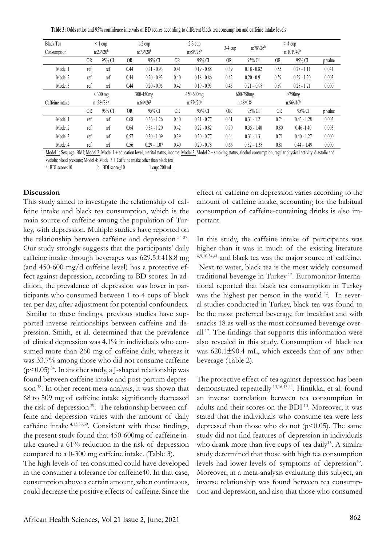**Table 3:** Odds ratios and 95% confidence intervals of BD scores according to different black tea consumption and caffeine intake levels

| <b>Black Tea</b> |                                     | $\leq$ 1 cup                       | $1-2$ cup |                                    | $2-3$ cup         |                   | $3-4$ cup | $n:78^{a}/26^{b}$ | $>$ 4 cup          |                   |         |
|------------------|-------------------------------------|------------------------------------|-----------|------------------------------------|-------------------|-------------------|-----------|-------------------|--------------------|-------------------|---------|
| Consumption      |                                     | n:23 <sup>a</sup> /20 <sup>b</sup> |           | n:73 <sup>a</sup> /28 <sup>b</sup> | $n:68^{a}/25^{b}$ |                   |           |                   | $n:101^{a}/49^{b}$ |                   |         |
|                  | 0 <sub>R</sub>                      | 95% CI                             | OR.       | 95% CI                             | 0R                | 95% CI            | <b>OR</b> | 95% CI            | <b>OR</b>          | 95% CI            | p value |
| Model 1          | ref                                 | ref                                | 0.44      | $0.21 - 0.93$                      | 0.41              | $0.19 - 0.88$     | 0.39      | $0.18 - 0.82$     | 0.55               | $0.28 - 1.11$     | 0.041   |
| Model 2          | ref                                 | ref                                | 0.44      | $0.20 - 0.93$                      | 0.40              | $0.18 - 0.86$     | 0.42      | $0.20 - 0.91$     | 0.59               | $0.29 - 1.20$     | 0.003   |
| Model 3          | ref                                 | ref                                | 0.44      | $0.20 - 0.95$                      | 0.42              | $0.19 - 0.93$     | 0.45      | $0.21 - 0.98$     | 0.59               | $0.28 - 1.21$     | 0.000   |
|                  | $<$ 300 mg                          |                                    |           | 300-450mg                          | 450-600mg         |                   | 600-750mg |                   | $>750$ mg          |                   |         |
| Caffeine intake  | n: 58 <sup>a</sup> /38 <sup>b</sup> |                                    |           | $n:64^{a}/26^{b}$                  |                   | $n:77^{a}/20^{b}$ |           | $n:48^a/18^b$     |                    | $n:96^{a}/46^{b}$ |         |
|                  | 0 <sub>R</sub>                      | 95% CI                             | <b>OR</b> | 95% CI                             | 0R                | 95% CI            | <b>OR</b> | 95% CI            | <b>OR</b>          | 95% CI            | p value |
| Model 1          | ref                                 | ref                                | 0.68      | $0.36 - 1.26$                      | 0.40              | $0.21 - 0.77$     | 0.61      | $0.31 - 1.21$     | 0.74               | $0.43 - 1.28$     | 0.003   |
| Model 2          | ref                                 | ref                                | 0.64      | $0.34 - 1.20$                      | 0.42              | $0.22 - 0.82$     | 0.70      | $0.35 - 1.40$     | 0.80               | $0.46 - 1.40$     | 0.003   |
| Model 3          | ref                                 | ref                                | 0.57      | $0.30 - 1.09$                      | 0.39              | $0.20 - 0.77$     | 0.64      | $0.31 - 1.31$     | 0.71               | $0.40 - 1.27$     | 0.000   |
| Model 4          | ref                                 | ref                                | 0.56      | $0.29 - 1.07$                      | 0.40              | $0.20 - 0.78$     | 0.66      | $0.32 - 1.38$     | 0.81               | $0.44 - 1.49$     | 0.000   |

Model 1: Sex, age, BMI; Model 2: Model 1 + education level, marital status, income; Model 3: Model 2 + smoking status, alcohol consumption, regular physical activity, diastolic and systolic blood pressure; Model 4: Model 3 + Caffeine intake other than black tea

a : BDI score  $10$  b : BDI score  $\geq 10$  1 cup: 200 mL

#### **Discussion**

This study aimed to investigate the relationship of caffeine intake and black tea consumption, which is the main source of caffeine among the population of Turkey, with depression. Multiple studies have reported on the relationship between caffeine and depression 34-37. Our study strongly suggests that the participants' daily caffeine intake through beverages was 629.5±418.8 mg (and 450-600 mg/d caffeine level) has a protective effect against depression, according to BD scores. In addition, the prevalence of depression was lower in participants who consumed between 1 to 4 cups of black tea per day, after adjustment for potential confounders. Similar to these findings, previous studies have supported inverse relationships between caffeine and depression. Smith, et al. determined that the prevalence of clinical depression was 4.1% in individuals who consumed more than 260 mg of caffeine daily, whereas it was 33.7% among those who did not consume caffeine  $(p<0.05)^{34}$ . In another study, a J-shaped relationship was found between caffeine intake and post-partum depression 38. In other recent meta-analysis, it was shown that 68 to 509 mg of caffeine intake significantly decreased the risk of depression<sup>39</sup>. The relationship between caffeine and depression varies with the amount of daily caffeine intake 4,13,38,39. Consistent with these findings, the present study found that 450-600mg of caffeine intake caused a 61% reduction in the risk of depression compared to a 0-300 mg caffeine intake. (Table 3).

The high levels of tea consumed could have developed in the consumer a tolerance for caffeine40. In that case, consumption above a certain amount, when continuous, could decrease the positive effects of caffeine. Since the

effect of caffeine on depression varies according to the amount of caffeine intake, accounting for the habitual consumption of caffeine-containing drinks is also important.

In this study, the caffeine intake of participants was higher than it was in much of the existing literature 4,9,10,34,41 and black tea was the major source of caffeine. Next to water, black tea is the most widely consumed traditional beverage in Turkey 17. Euromonitor International reported that black tea consumption in Turkey was the highest per person in the world <sup>42</sup>. In several studies conducted in Turkey, black tea was found to be the most preferred beverage for breakfast and with snacks 18 as well as the most consumed beverage overall<sup>17</sup>. The findings that supports this information were also revealed in this study. Consumption of black tea was 620.1±90.4 mL, which exceeds that of any other beverage (Table 2).

The protective effect of tea against depression has been demonstrated repeatedly 13,16,43,44. Hintikka, et al. found an inverse correlation between tea consumption in adults and their scores on the BDI 13. Moreover, it was stated that the individuals who consume tea were less depressed than those who do not  $(p<0.05)$ . The same study did not find features of depression in individuals who drank more than five cups of tea daily<sup>13</sup>. A similar study determined that those with high tea consumption levels had lower levels of symptoms of depression<sup>43</sup>. Moreover, in a meta-analysis evaluating this subject, an inverse relationship was found between tea consumption and depression, and also that those who consumed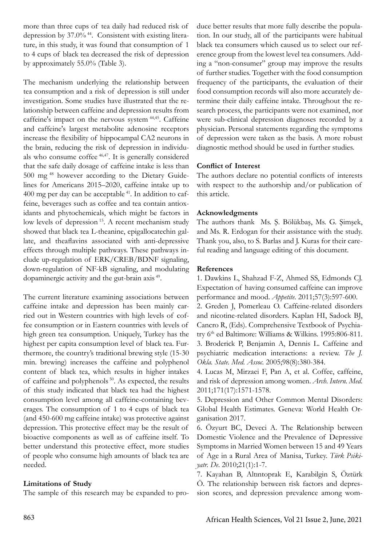more than three cups of tea daily had reduced risk of depression by 37.0% 44. Consistent with existing literature, in this study, it was found that consumption of 1 to 4 cups of black tea decreased the risk of depression by approximately 55.0% (Table 3).

The mechanism underlying the relationship between tea consumption and a risk of depression is still under investigation. Some studies have illustrated that the relationship between caffeine and depression results from caffeine's impact on the nervous system 44,45. Caffeine and caffeine's largest metabolite adenosine receptors increase the flexibility of hippocampal CA2 neurons in the brain, reducing the risk of depression in individuals who consume coffee 46,47. It is generally considered that the safe daily dosage of caffeine intake is less than 500 mg 48 however according to the Dietary Guidelines for Americans 2015–2020, caffeine intake up to 400 mg per day can be acceptable 41. In addition to caffeine, beverages such as coffee and tea contain antioxidants and phytochemicals, which might be factors in low levels of depression<sup>15</sup>. A recent mechanism study showed that black tea L-theanine, epigallocatechin gallate, and theaflavins associated with anti-depressive effects through multiple pathways. These pathways include up-regulation of ERK/CREB/BDNF signaling, down-regulation of NF-kB signaling, and modulating dopaminergic activity and the gut-brain axis 49.

The current literature examining associations between caffeine intake and depression has been mainly carried out in Western countries with high levels of coffee consumption or in Eastern countries with levels of high green tea consumption. Uniquely, Turkey has the highest per capita consumption level of black tea. Furthermore, the country's traditional brewing style (15-30 min. brewing) increases the caffeine and polyphenol content of black tea, which results in higher intakes of caffeine and polyphenols 50. As expected, the results of this study indicated that black tea had the highest consumption level among all caffeine-containing beverages. The consumption of 1 to 4 cups of black tea (and 450-600 mg caffeine intake) was protective against depression. This protective effect may be the result of bioactive components as well as of caffeine itself. To better understand this protective effect, more studies of people who consume high amounts of black tea are needed.

# **Limitations of Study**

The sample of this research may be expanded to pro-

duce better results that more fully describe the population. In our study, all of the participants were habitual black tea consumers which caused us to select our reference group from the lowest level tea consumers. Adding a "non-consumer" group may improve the results of further studies. Together with the food consumption frequency of the participants, the evaluation of their food consumption records will also more accurately determine their daily caffeine intake. Throughout the research process, the participants were not examined, nor were sub-clinical depression diagnoses recorded by a physician. Personal statements regarding the symptoms of depression were taken as the basis. A more robust diagnostic method should be used in further studies.

## **Conflict of Interest**

The authors declare no potential conflicts of interests with respect to the authorship and/or publication of this article.

## **Acknowledgments**

The authors thank Ms. Ş. Bölükbaş, Ms. G. Şimşek, and Ms. R. Erdogan for their assistance with the study. Thank you, also, to S. Barlas and J. Kuras for their careful reading and language editing of this document.

## **References**

1. Dawkins L, Shahzad F-Z, Ahmed SS, Edmonds CJ. Expectation of having consumed caffeine can improve performance and mood. *Appetite*. 2011;57(3):597-600.

2. Greden J, Pomerleau O. Caffeine-related disorders and nicotine-related disorders. Kaplan HI, Sadock BJ, Cancro R, (Eds). Comprehensive Textbook of Psychiatry 6th ed Baltimore: Williams & Wilkins. 1995:806-811. 3. Broderick P, Benjamin A, Dennis L. Caffeine and psychiatric medication interactions: a review. *The J. Okla. State. Med. Assoc.* 2005;98(8):380-384.

4. Lucas M, Mirzaei F, Pan A, et al. Coffee, caffeine, and risk of depression among women. *Arch. Intern. Med*. 2011;171(17):1571-1578.

5. Depression and Other Common Mental Disorders: Global Health Estimates. Geneva: World Health Organisation 2017.

6. Özyurt BC, Deveci A. The Relationship between Domestic Violence and the Prevalence of Depressive Symptoms in Married Women between 15 and 49 Years of Age in a Rural Area of Manisa, Turkey. *Türk Psikiyatr. De*. 2010;21(1):1-7.

7. Kayahan B, Altıntoprak E, Karabilgin S, Öztürk Ö. The relationship between risk factors and depression scores, and depression prevalence among wom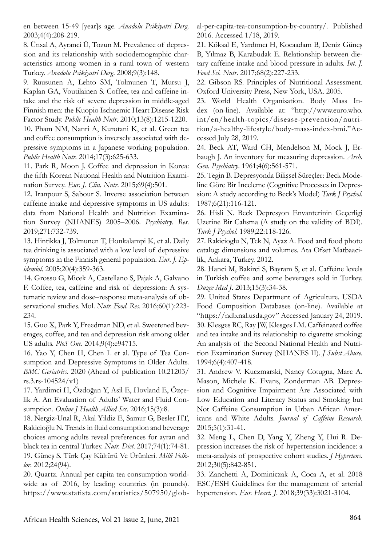en between 15-49 [year]s age. *Anadolu Psikiyatri Derg*. 2003;4(4):208-219.

8. Ünsal A, Ayranci Ü, Tozun M. Prevalence of depression and its relationship with sociodemographic characteristics among women in a rural town of western Turkey. *Anadolu Psikiyatri Derg*. 2008;9(3):148.

9. Ruusunen A, Lehto SM, Tolmunen T, Mursu J, Kaplan GA, Voutilainen S. Coffee, tea and caffeine intake and the risk of severe depression in middle-aged Finnish men: the Kuopio Ischaemic Heart Disease Risk Factor Study. *Public Health Nutr*. 2010;13(8):1215-1220.

10. Pham NM, Nanri A, Kurotani K, et al. Green tea and coffee consumption is inversely associated with depressive symptoms in a Japanese working population. *Public Health Nutr.* 2014;17(3):625-633.

11. Park R, Moon J. Coffee and depression in Korea: the fifth Korean National Health and Nutrition Examination Survey. *Eur. J. Clin. Nutr*. 2015;69(4):501.

12. Iranpour S, Sabour S. Inverse association between caffeine intake and depressive symptoms in US adults: data from National Health and Nutrition Examination Survey (NHANES) 2005–2006. *Psychiatry. Res*. 2019;271:732-739.

13. Hintikka J, Tolmunen T, Honkalampi K, et al. Daily tea drinking is associated with a low level of depressive symptoms in the Finnish general population. *Eur. J. Epidemiol*. 2005;20(4):359-363.

14. Grosso G, Micek A, Castellano S, Pajak A, Galvano F. Coffee, tea, caffeine and risk of depression: A systematic review and dose–response meta-analysis of observational studies. Mol. *Nutr. Food. Res*. 2016;60(1):223- 234.

15. Guo X, Park Y, Freedman ND, et al. Sweetened beverages, coffee, and tea and depression risk among older US adults. *PloS One*. 2014;9(4):e94715.

16. Yao Y, Chen H, Chen L et al. Type of Tea Consumption and Depressive Symptoms in Older Adults. *BMC Geriatrics*. 2020 (Ahead of publication 10.21203/  $rs.3.rs-104524/v1)$ 

17. Yardimci H, Özdoğan Y, Asil E, Hovland E, Özçelik A. An Evaluation of Adults' Water and Fluid Consumption. *Online J Health Allied Scs*. 2016;15(3):8.

18. Nergiz-Unal R, Akal Yildiz E, Samur G, Besler HT, Rakicioğlu N. Trends in fluid consumption and beverage choices among adults reveal preferences for ayran and black tea in central Turkey. *Nutr. Diet*. 2017;74(1):74-81. 19. Güneş S. Türk Çay Kültürü Ve Ürünleri. *Milli Folklor*. 2012;24(94).

20. Quartz. Annual per capita tea consumption worldwide as of 2016, by leading countries (in pounds). https://www.statista.com/statistics/507950/global-per-capita-tea-consumption-by-country/. Published 2016. Accessed 1/18, 2019.

21. Köksal E, Yardımcı H, Kocaadam B, Deniz Güneş B, Yılmaz B, Karabudak E. Relationship between dietary caffeine intake and blood pressure in adults. *Int. J. Food Sci. Nutr*. 2017;68(2):227-233.

22. Gibson RS. Principles of Nutritional Assessment. Oxford University Press, New York, USA. 2005.

23. World Health Organisation. Body Mass Index (on-line). Available at: "http://www.euro.who. int/en/health-topics/disease-prevention/nutrition/a-healthy-lifestyle/body-mass-index-bmi."Accessed July 28, 2019.

24. Beck AT, Ward CH, Mendelson M, Mock J, Erbaugh J. An inventory for measuring depression. *Arch. Gen. Psychiatry*. 1961;4(6):561-571.

25. Tegin B. Depresyonda Bilişsel Süreçler: Beck Modeline Göre Bir İnceleme (Cognitive Processes in Depression: A study according to Beck's Model) *Turk J Psychol*. 1987;6(21):116-121.

26. Hisli N. Beck Depresyon Envanterinin Geçerligi Uzerine Bir Calısma (A study on the validity of BDI). *Turk J Psychol*. 1989;22:118-126.

27. Rakicioglu N, Tek N, Ayaz A. Food and food photo catalog: dimensions and volumes. Ata Ofset Matbaacilik, Ankara, Turkey. 2012.

28. Hanci M, Bakirci S, Bayram S, et al. Caffeine levels in Turkish coffee and some beverages sold in Turkey. *Duzce Med J*. 2013;15(3):34-38.

29. United States Department of Agriculture. USDA Food Composition Databases (on-line). Available at "https://ndb.nal.usda.gov" Accessed January 24, 2019. 30. Klesges RC, Ray JW, Klesges LM. Caffeinated coffee and tea intake and its relationship to cigarette smoking: An analysis of the Second National Health and Nutrition Examination Survey (NHANES II). *J Subst Abuse*. 1994;6(4):407-418.

31. Andrew V. Kuczmarski, Nancy Cotugna, Marc A. Mason, Michele K. Evans, Zonderman AB. Depression and Cognitive Impairment Are Associated with Low Education and Literacy Status and Smoking but Not Caffeine Consumption in Urban African Americans and White Adults. *Journal of Caffeine Research*. 2015;5(1):31-41.

32. Meng L, Chen D, Yang Y, Zheng Y, Hui R. Depression increases the risk of hypertension incidence: a meta-analysis of prospective cohort studies. *J Hypertens*. 2012;30(5):842-851.

33. Zanchetti A, Dominiczak A, Coca A, et al. 2018 ESC/ESH Guidelines for the management of arterial hypertension. *Eur. Heart. J*. 2018;39(33):3021-3104.